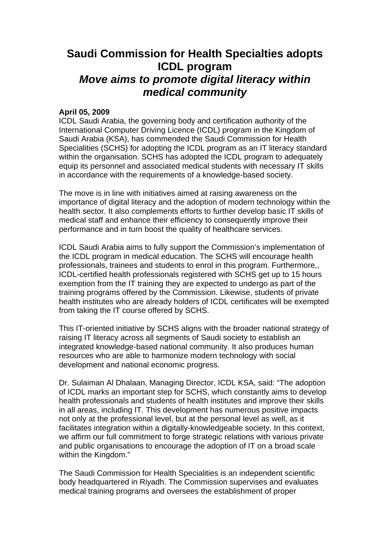## **Saudi Commission for Health Specialties adopts ICDL program** *Move aims to promote digital literacy within medical community*

## **April 05, 2009**

ICDL Saudi Arabia, the governing body and certification authority of the International Computer Driving Licence (ICDL) program in the Kingdom of Saudi Arabia (KSA), has commended the Saudi Commission for Health Specialities (SCHS) for adopting the ICDL program as an IT literacy standard within the organisation. SCHS has adopted the ICDL program to adequately equip its personnel and associated medical students with necessary IT skills in accordance with the requirements of a knowledge-based society.

The move is in line with initiatives aimed at raising awareness on the importance of digital literacy and the adoption of modern technology within the health sector. It also complements efforts to further develop basic IT skills of medical staff and enhance their efficiency to consequently improve their performance and in turn boost the quality of healthcare services.

ICDL Saudi Arabia aims to fully support the Commission's implementation of the ICDL program in medical education. The SCHS will encourage health professionals, trainees and students to enrol in this program. Furthermore,, ICDL-certified health professionals registered with SCHS get up to 15 hours exemption from the IT training they are expected to undergo as part of the training programs offered by the Commission. Likewise, students of private health institutes who are already holders of ICDL certificates will be exempted from taking the IT course offered by SCHS.

This IT-oriented initiative by SCHS aligns with the broader national strategy of raising IT literacy across all segments of Saudi society to establish an integrated knowledge-based national community. It also produces human resources who are able to harmonize modern technology with social development and national economic progress.

Dr. Sulaiman Al Dhalaan, Managing Director, ICDL KSA, said: "The adoption of ICDL marks an important step for SCHS, which constantly aims to develop health professionals and students of health institutes and improve their skills in all areas, including IT. This development has numerous positive impacts not only at the professional level, but at the personal level as well, as it facilitates integration within a digitally-knowledgeable society. In this context, we affirm our full commitment to forge strategic relations with various private and public organisations to encourage the adoption of IT on a broad scale within the Kingdom."

The Saudi Commission for Health Specialities is an independent scientific body headquartered in Riyadh. The Commission supervises and evaluates medical training programs and oversees the establishment of proper